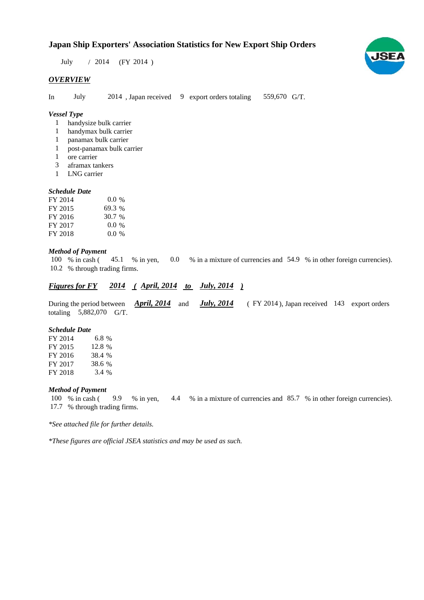## **Japan Ship Exporters' Association Statistics for New Export Ship Orders**

July / 2014 (FY 2014)

#### *OVERVIEW*

In July 2014, Japan received 9 export orders totaling 559,670 G/T.

### *Vessel Type*

- handysize bulk carrier 1
- handymax bulk carrier 1
- panamax bulk carrier 1
- post-panamax bulk carrier 1
- ore carrier 1
- aframax tankers 3
- LNG carrier 1

#### *Schedule Date*

| FY 2014 | $0.0\%$ |
|---------|---------|
| FY 2015 | 69.3 %  |
| FY 2016 | 30.7 %  |
| FY 2017 | $0.0\%$ |
| FY 2018 | 0.0 %   |

#### *Method of Payment*

% in cash ( $\frac{45.1}{8}$  m yen, 0.0 % in a mixture of currencies and 54.9 % in other foreign currencies). % through trading firms. 10.2100 % in cash (45.1)

## *Figures for FY* 2014 (*April, 2014 to July, 2014* )

During the period between **April, 2014** and **July, 2014** (FY 2014), Japan received 143 export orders totaling  $5,882,070$  G/T. *April, 2014 July, 2014*

#### *Schedule Date*

FY 2014 FY 2015 FY 2016 FY 2017 FY 2018 38.4 6.8 12.8 % 38.6 3.4 %

#### *Method of Payment*

% in cash ( $\frac{9.9}{8}$  in yen,  $\frac{4.4}{8}$  in a mixture of currencies and  $\frac{85.7}{8}$  in other foreign currencies). % through trading firms. 17.7 100 % in cash (

*\*See attached file for further details.*

*\*These figures are official JSEA statistics and may be used as such.*

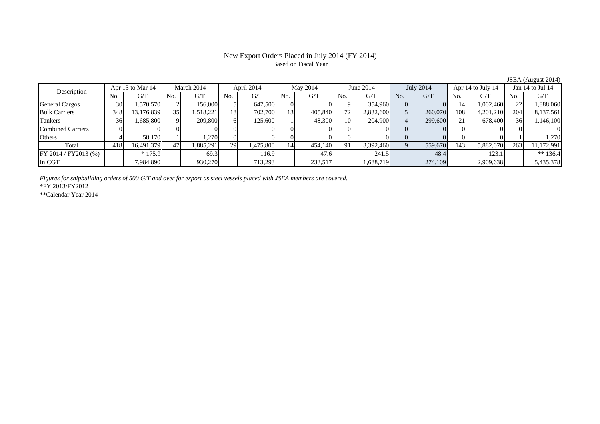## Based on Fiscal Year

JSEA (August 2014)<br>Jan 14 to Jul 14 No. G/T No. G/T No. G/T No. G/T No. G/T No. G/T No. G/T No. G/T $\mathrm{G}/\mathrm{T}$ General Cargos ( 30 1,570,570 2 156,000 5 647,500 0 0 9 354,960 0 0 14 1,002,460 22 1,888,060 Bulk Carriers 348 13,176,839 35 1,518,221 18 702,700 13 405,840 72 2,832,600 5 260,070 108 4,201,210 204 8,137,561 Tankers | 36| 1,685,800|| 9| 209,800| 6| 125,600| 1| 48,300| 10| 204,900| 4| 299,600| 21| 678,400|| 36| 1,146,100 Combined Carriers 0 0 0 0 0 0 0 0 0 0 0 0 0 0 0 0Others | 4| 58,170|| 1| 1,270| 0| 0| 0| 0| 0| 0| 0| 0| 0| 0| 1| 1,270 Total 418 16,491,379 47 1,885,291 29 1,475,800 14 454,140 91 3,392,460 9 559,670 143 5,882,070 263 11,172,991 FY 2014 / FY2013 (%) \* 175.9 69.3 116.9 47.6 241.5 48.4 123.1 \*\* 136.4 In CGT | | 7,984,890|| | 930,270| | 713,293| | 233,517| | 1,688,719| | 274,109| | 2,909,638|| | 5,435,378 Apr 13 to Mar 14 March 2014 April 2014 May 2014 June 2014 July 2014 Apr 14 to July 14 Jan 14 to Jul 14 Description

*Figures for shipbuilding orders of 500 G/T and over for export as steel vessels placed with JSEA members are covered.*

\*FY 2013/FY2012

\*\*Calendar Year 2014

# New Export Orders Placed in July 2014 (FY 2014)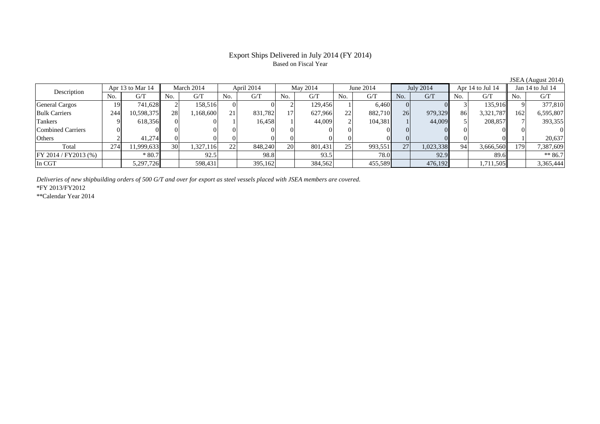### Export Ships Delivered in July 2014 (FY 2014) Based on Fiscal Year

|                         | Apr 13 to Mar 14 |            | March 2014 |           | April 2014 |         | May 2014  |         | June 2014      |             | July 2014 |           | Apr 14 to Jul 14 |           | Jan 14 to Jul 14 |           |
|-------------------------|------------------|------------|------------|-----------|------------|---------|-----------|---------|----------------|-------------|-----------|-----------|------------------|-----------|------------------|-----------|
| Description             | No.              | G/T        | No.        | G/T       | No.        | G/T     | No.       | G/T     | N <sub>0</sub> | G/T         | No.       | G/T       | No.              | G/T       | No.              | G/T       |
| <b>General Cargos</b>   | 19               | 741,628    |            | 158.516   |            |         |           | 129,456 |                | 6,460       |           |           |                  | 135,916   |                  | 377,810   |
| <b>Bulk Carriers</b>    | 244              | 10,598,375 | 28         | ,168,600  | 21         | 831,782 |           | 627,966 | 22             | 882,710     | 26        | 979,329   | 86               | 3,321,787 | 162              | 6,595,807 |
| Tankers                 |                  | 618,356    |            |           |            | 16,458  |           | 44,009  |                | 104,381     |           | 44,009    |                  | 208,857   |                  | 393,355   |
| Combined Carriers       |                  |            |            |           |            |         |           |         |                |             |           |           |                  |           |                  |           |
| Others                  |                  | 41.274     |            |           |            |         |           |         |                |             |           |           |                  |           |                  | 20.637    |
| Total                   | 274              | 1,999,633  | 30         | 1,327,116 | 22         | 848,240 | <b>20</b> | 801,431 | 25             | 993,551     | 27        | 1,023,338 | 94               | 3,666,560 | 179              | 7,387,609 |
| $FY 2014 / FY 2013$ (%) |                  | $*80.7$    |            | 92.5      |            | 98.8    |           | 93.5    |                | <b>78.0</b> |           | 92.9      |                  | 89.6      |                  | $** 86.7$ |
| In CGT                  |                  | 5,297,726  |            | 598,431   |            | 395,162 |           | 384,562 |                | 455,589     |           | 476,192   |                  | 1,711,505 |                  | 3,365,444 |

*Deliveries of new shipbuilding orders of 500 G/T and over for export as steel vessels placed with JSEA members are covered.*

\*FY 2013/FY2012

\*\*Calendar Year 2014

JSEA (August 2014)